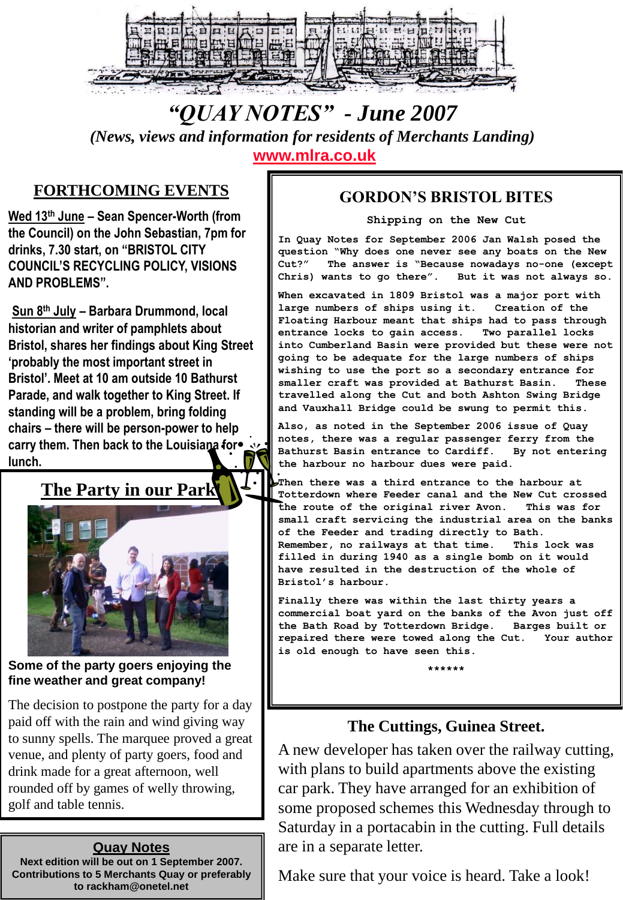

# *"QUAY NOTES" - June 2007*

*(News, views and information for residents of Merchants Landing)*  **[www.mlra.co.uk](http://www.mlra.co.uk/)**

### **FORTHCOMING EVENTS**

**Wed 13th June – Sean Spencer-Worth (from the Council) on the John Sebastian, 7pm for drinks, 7.30 start, on "BRISTOL CITY COUNCIL"S RECYCLING POLICY, VISIONS AND PROBLEMS".** 

**Sun 8th July – Barbara Drummond, local historian and writer of pamphlets about Bristol, shares her findings about King Street "probably the most important street in Bristol". Meet at 10 am outside 10 Bathurst Parade, and walk together to King Street. If standing will be a problem, bring folding chairs – there will be person-power to help carry them. Then back to the Louisiana for lunch.** 

## **The Party in our Park!**



#### **Some of the party goers enjoying the fine weather and great company!**

The decision to postpone the party for a day paid off with the rain and wind giving way to sunny spells. The marquee proved a great venue, and plenty of party goers, food and drink made for a great afternoon, well rounded off by games of welly throwing, golf and table tennis.

#### **Quay Notes**

**Next edition will be out on 1 September 2007. Contributions to 5 Merchants Quay or preferably to rackham@onetel.net**

#### **GORDON'S BRISTOL BITES**

**Shipping on the New Cut**

**In Quay Notes for September 2006 Jan Walsh posed the question "Why does one never see any boats on the New Cut?" The answer is "Because nowadays no-one (except Chris) wants to go there". But it was not always so.**

**When excavated in 1809 Bristol was a major port with large numbers of ships using it. Creation of the Floating Harbour meant that ships had to pass through entrance locks to gain access. Two parallel locks into Cumberland Basin were provided but these were not going to be adequate for the large numbers of ships wishing to use the port so a secondary entrance for smaller craft was provided at Bathurst Basin. These travelled along the Cut and both Ashton Swing Bridge and Vauxhall Bridge could be swung to permit this.**

**Also, as noted in the September 2006 issue of Quay notes, there was a regular passenger ferry from the Bathurst Basin entrance to Cardiff. By not entering the harbour no harbour dues were paid.**

**Then there was a third entrance to the harbour at Totterdown where Feeder canal and the New Cut crossed the route of the original river Avon. This was for small craft servicing the industrial area on the banks of the Feeder and trading directly to Bath. Remember, no railways at that time. This lock was filled in during 1940 as a single bomb on it would have resulted in the destruction of the whole of Bristol's harbour.**

**Finally there was within the last thirty years a commercial boat yard on the banks of the Avon just off the Bath Road by Totterdown Bridge. Barges built or repaired there were towed along the Cut. Your author is old enough to have seen this.**

**\*\*\*\*\*\***

### **The Cuttings, Guinea Street.**

A new developer has taken over the railway cutting, with plans to build apartments above the existing car park. They have arranged for an exhibition of some proposed schemes this Wednesday through to Saturday in a portacabin in the cutting. Full details are in a separate letter.

Make sure that your voice is heard. Take a look!